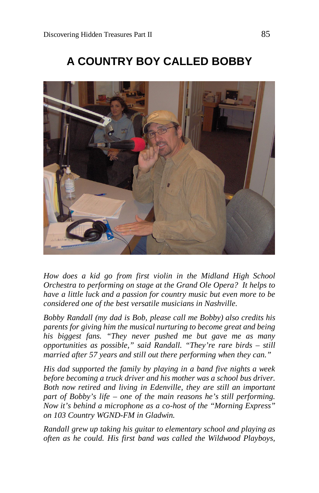



*How does a kid go from first violin in the Midland High School Orchestra to performing on stage at the Grand Ole Opera? It helps to have a little luck and a passion for country music but even more to be considered one of the best versatile musicians in Nashville.*

*Bobby Randall (my dad is Bob, please call me Bobby) also credits his parents for giving him the musical nurturing to become great and being his biggest fans. "They never pushed me but gave me as many opportunities as possible," said Randall. "They're rare birds – still married after 57 years and still out there performing when they can."*

*His dad supported the family by playing in a band five nights a week before becoming a truck driver and his mother was a school bus driver. Both now retired and living in Edenville, they are still an important part of Bobby's life – one of the main reasons he's still performing. Now it's behind a microphone as a co-host of the "Morning Express" on 103 Country WGND-FM in Gladwin.*

*Randall grew up taking his guitar to elementary school and playing as often as he could. His first band was called the Wildwood Playboys,*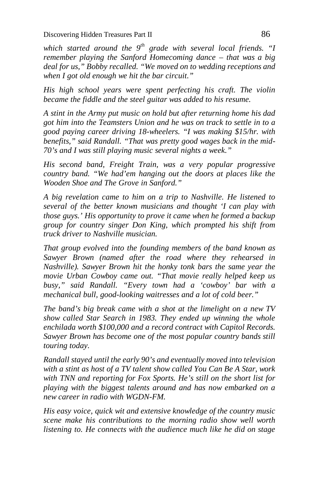*which started around the 9th grade with several local friends. "I remember playing the Sanford Homecoming dance – that was a big deal for us," Bobby recalled. "We moved on to wedding receptions and when I got old enough we hit the bar circuit."*

*His high school years were spent perfecting his craft. The violin became the fiddle and the steel guitar was added to his resume.*

*A stint in the Army put music on hold but after returning home his dad got him into the Teamsters Union and he was on track to settle in to a good paying career driving 18-wheelers. "I was making \$15/hr. with benefits," said Randall. "That was pretty good wages back in the mid-70's and I was still playing music several nights a week."*

*His second band, Freight Train, was a very popular progressive country band. "We had'em hanging out the doors at places like the Wooden Shoe and The Grove in Sanford."*

*A big revelation came to him on a trip to Nashville. He listened to several of the better known musicians and thought 'I can play with those guys.' His opportunity to prove it came when he formed a backup group for country singer Don King, which prompted his shift from truck driver to Nashville musician.*

*That group evolved into the founding members of the band known as Sawyer Brown (named after the road where they rehearsed in Nashville). Sawyer Brown hit the honky tonk bars the same year the movie Urban Cowboy came out. "That movie really helped keep us busy," said Randall. "Every town had a 'cowboy' bar with a mechanical bull, good-looking waitresses and a lot of cold beer."*

*The band's big break came with a shot at the limelight on a new TV show called Star Search in 1983. They ended up winning the whole enchilada worth \$100,000 and a record contract with Capitol Records. Sawyer Brown has become one of the most popular country bands still touring today.*

*Randall stayed until the early 90's and eventually moved into television with a stint as host of a TV talent show called You Can Be A Star, work with TNN and reporting for Fox Sports. He's still on the short list for playing with the biggest talents around and has now embarked on a new career in radio with WGDN-FM.*

*His easy voice, quick wit and extensive knowledge of the country music scene make his contributions to the morning radio show well worth listening to. He connects with the audience much like he did on stage*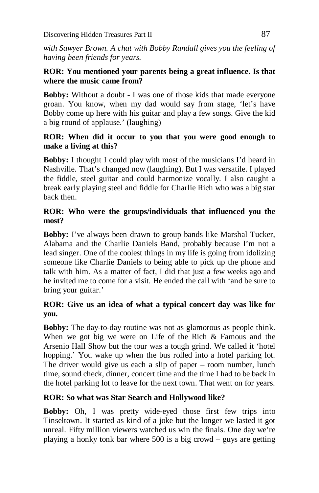*with Sawyer Brown. A chat with Bobby Randall gives you the feeling of having been friends for years.*

# **ROR: You mentioned your parents being a great influence. Is that where the music came from?**

**Bobby:** Without a doubt - I was one of those kids that made everyone groan. You know, when my dad would say from stage, 'let's have Bobby come up here with his guitar and play a few songs. Give the kid a big round of applause.' (laughing)

#### **ROR: When did it occur to you that you were good enough to make a living at this?**

**Bobby:** I thought I could play with most of the musicians I'd heard in Nashville. That's changed now (laughing). But I was versatile. I played the fiddle, steel guitar and could harmonize vocally. I also caught a break early playing steel and fiddle for Charlie Rich who was a big star back then.

# **ROR: Who were the groups/individuals that influenced you the most?**

**Bobby:** I've always been drawn to group bands like Marshal Tucker, Alabama and the Charlie Daniels Band, probably because I'm not a lead singer. One of the coolest things in my life is going from idolizing someone like Charlie Daniels to being able to pick up the phone and talk with him. As a matter of fact, I did that just a few weeks ago and he invited me to come for a visit. He ended the call with 'and be sure to bring your guitar.'

# **ROR: Give us an idea of what a typical concert day was like for you.**

**Bobby:** The day-to-day routine was not as glamorous as people think. When we got big we were on Life of the Rich & Famous and the Arsenio Hall Show but the tour was a tough grind. We called it 'hotel hopping.' You wake up when the bus rolled into a hotel parking lot. The driver would give us each a slip of paper – room number, lunch time, sound check, dinner, concert time and the time I had to be back in the hotel parking lot to leave for the next town. That went on for years.

# **ROR: So what was Star Search and Hollywood like?**

**Bobby:** Oh, I was pretty wide-eyed those first few trips into Tinseltown. It started as kind of a joke but the longer we lasted it got unreal. Fifty million viewers watched us win the finals. One day we're playing a honky tonk bar where 500 is a big crowd – guys are getting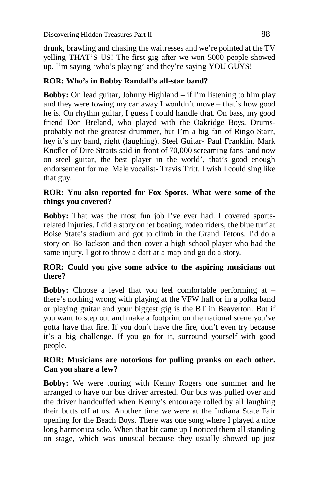drunk, brawling and chasing the waitresses and we're pointed at the TV yelling THAT'S US! The first gig after we won 5000 people showed up. I'm saying 'who's playing' and they're saying YOU GUYS!

# **ROR: Who's in Bobby Randall's all-star band?**

**Bobby:** On lead guitar, Johnny Highland – if I'm listening to him play and they were towing my car away I wouldn't move – that's how good he is. On rhythm guitar, I guess I could handle that. On bass, my good friend Don Breland, who played with the Oakridge Boys. Drumsprobably not the greatest drummer, but I'm a big fan of Ringo Starr, hey it's my band, right (laughing). Steel Guitar- Paul Franklin. Mark Knofler of Dire Straits said in front of 70,000 screaming fans 'and now on steel guitar, the best player in the world', that's good enough endorsement for me. Male vocalist- Travis Tritt. I wish I could sing like that guy.

### **ROR: You also reported for Fox Sports. What were some of the things you covered?**

**Bobby:** That was the most fun job I've ever had. I covered sportsrelated injuries. I did a story on jet boating, rodeo riders, the blue turf at Boise State's stadium and got to climb in the Grand Tetons. I'd do a story on Bo Jackson and then cover a high school player who had the same injury. I got to throw a dart at a map and go do a story.

# **ROR: Could you give some advice to the aspiring musicians out there?**

**Bobby:** Choose a level that you feel comfortable performing at  $$ there's nothing wrong with playing at the VFW hall or in a polka band or playing guitar and your biggest gig is the BT in Beaverton. But if you want to step out and make a footprint on the national scene you've gotta have that fire. If you don't have the fire, don't even try because it's a big challenge. If you go for it, surround yourself with good people.

#### **ROR: Musicians are notorious for pulling pranks on each other. Can you share a few?**

**Bobby:** We were touring with Kenny Rogers one summer and he arranged to have our bus driver arrested. Our bus was pulled over and the driver handcuffed when Kenny's entourage rolled by all laughing their butts off at us. Another time we were at the Indiana State Fair opening for the Beach Boys. There was one song where I played a nice long harmonica solo. When that bit came up I noticed them all standing on stage, which was unusual because they usually showed up just